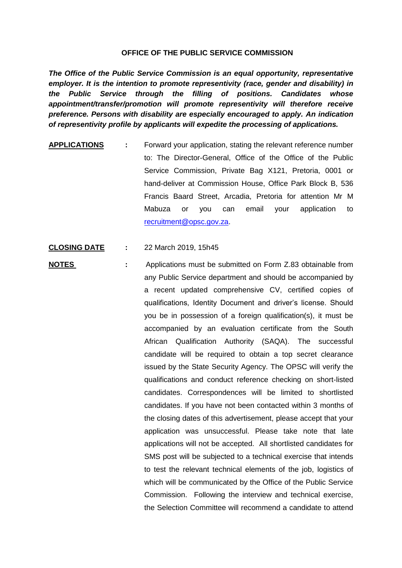## **OFFICE OF THE PUBLIC SERVICE COMMISSION**

*The Office of the Public Service Commission is an equal opportunity, representative employer. It is the intention to promote representivity (race, gender and disability) in the Public Service through the filling of positions. Candidates whose appointment/transfer/promotion will promote representivity will therefore receive preference. Persons with disability are especially encouraged to apply. An indication of representivity profile by applicants will expedite the processing of applications.*

- **APPLICATIONS :** Forward your application, stating the relevant reference number to: The Director-General, Office of the Office of the Public Service Commission, Private Bag X121, Pretoria, 0001 or hand-deliver at Commission House, Office Park Block B, 536 Francis Baard Street, Arcadia, Pretoria for attention Mr M Mabuza or you can email your application to [recruitment@opsc.gov.za.](mailto:recruitment@opsc.gov.za)
- **CLOSING DATE :** 22 March 2019, 15h45
- **NOTES :** Applications must be submitted on Form Z.83 obtainable from any Public Service department and should be accompanied by a recent updated comprehensive CV, certified copies of qualifications, Identity Document and driver's license. Should you be in possession of a foreign qualification(s), it must be accompanied by an evaluation certificate from the South African Qualification Authority (SAQA). The successful candidate will be required to obtain a top secret clearance issued by the State Security Agency. The OPSC will verify the qualifications and conduct reference checking on short-listed candidates. Correspondences will be limited to shortlisted candidates. If you have not been contacted within 3 months of the closing dates of this advertisement, please accept that your application was unsuccessful. Please take note that late applications will not be accepted. All shortlisted candidates for SMS post will be subjected to a technical exercise that intends to test the relevant technical elements of the job, logistics of which will be communicated by the Office of the Public Service Commission. Following the interview and technical exercise, the Selection Committee will recommend a candidate to attend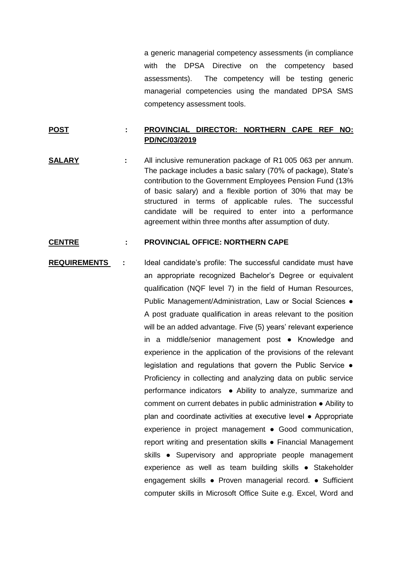a generic managerial competency assessments (in compliance with the DPSA Directive on the competency based assessments). The competency will be testing generic managerial competencies using the mandated DPSA SMS competency assessment tools.

## **POST : PROVINCIAL DIRECTOR: NORTHERN CAPE REF NO: PD/NC/03/2019**

**SALARY :** All inclusive remuneration package of R1 005 063 per annum. The package includes a basic salary (70% of package), State's contribution to the Government Employees Pension Fund (13% of basic salary) and a flexible portion of 30% that may be structured in terms of applicable rules. The successful candidate will be required to enter into a performance agreement within three months after assumption of duty.

## **CENTRE : PROVINCIAL OFFICE: NORTHERN CAPE**

**REQUIREMENTS :** Ideal candidate's profile: The successful candidate must have an appropriate recognized Bachelor's Degree or equivalent qualification (NQF level 7) in the field of Human Resources, Public Management/Administration, Law or Social Sciences ● A post graduate qualification in areas relevant to the position will be an added advantage. Five (5) years' relevant experience in a middle/senior management post ● Knowledge and experience in the application of the provisions of the relevant legislation and regulations that govern the Public Service ● Proficiency in collecting and analyzing data on public service performance indicators • Ability to analyze, summarize and comment on current debates in public administration ● Ability to plan and coordinate activities at executive level ● Appropriate experience in project management ● Good communication, report writing and presentation skills ● Financial Management skills • Supervisory and appropriate people management experience as well as team building skills ● Stakeholder engagement skills ● Proven managerial record. ● Sufficient computer skills in Microsoft Office Suite e.g. Excel, Word and